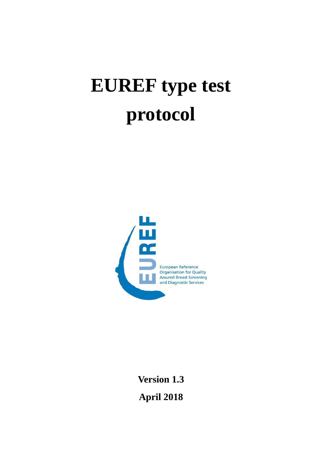# **EUREF type test protocol**



**Version 1.3 April 2018**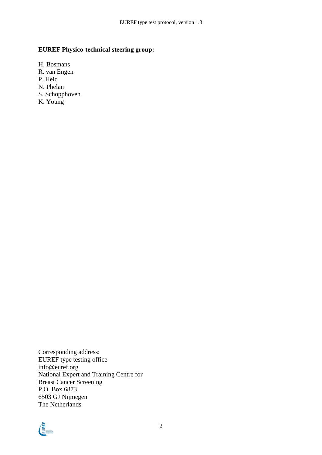#### **EUREF Physico-technical steering group:**

- H. Bosmans
- R. van Engen
- P. Heid
- N. Phelan
- S. Schopphoven
- K. Young

Corresponding address: EUREF type testing office [info@euref.org](mailto:info@euref.org) National Expert and Training Centre for Breast Cancer Screening P.O. Box 6873 6503 GJ Nijmegen The Netherlands

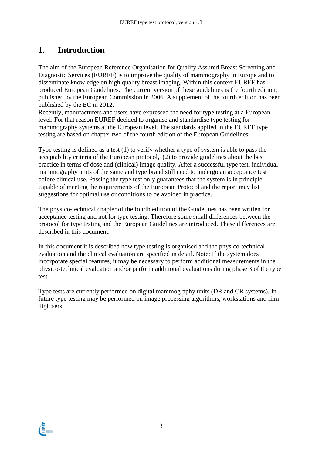### **1. Introduction**

The aim of the European Reference Organisation for Quality Assured Breast Screening and Diagnostic Services (EUREF) is to improve the quality of mammography in Europe and to disseminate knowledge on high quality breast imaging. Within this context EUREF has produced European Guidelines. The current version of these guidelines is the fourth edition, published by the European Commission in 2006. A supplement of the fourth edition has been published by the EC in 2012.

Recently, manufacturers and users have expressed the need for type testing at a European level. For that reason EUREF decided to organise and standardise type testing for mammography systems at the European level. The standards applied in the EUREF type testing are based on chapter two of the fourth edition of the European Guidelines.

Type testing is defined as a test (1) to verify whether a type of system is able to pass the acceptability criteria of the European protocol, (2) to provide guidelines about the best practice in terms of dose and (clinical) image quality. After a successful type test, individual mammography units of the same and type brand still need to undergo an acceptance test before clinical use. Passing the type test only guarantees that the system is in principle capable of meeting the requirements of the European Protocol and the report may list suggestions for optimal use or conditions to be avoided in practice.

The physico-technical chapter of the fourth edition of the Guidelines has been written for acceptance testing and not for type testing. Therefore some small differences between the protocol for type testing and the European Guidelines are introduced. These differences are described in this document.

In this document it is described how type testing is organised and the physico-technical evaluation and the clinical evaluation are specified in detail. Note: If the system does incorporate special features, it may be necessary to perform additional measurements in the physico-technical evaluation and/or perform additional evaluations during phase 3 of the type test.

Type tests are currently performed on digital mammography units (DR and CR systems). In future type testing may be performed on image processing algorithms, workstations and film digitisers.

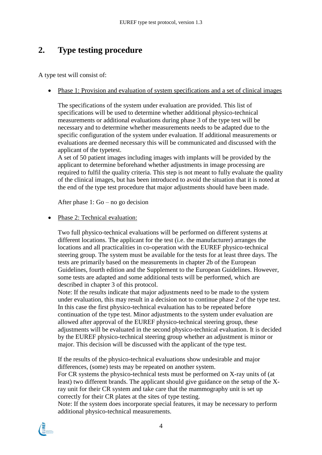## **2. Type testing procedure**

A type test will consist of:

#### Phase 1: Provision and evaluation of system specifications and a set of clinical images

The specifications of the system under evaluation are provided. This list of specifications will be used to determine whether additional physico-technical measurements or additional evaluations during phase 3 of the type test will be necessary and to determine whether measurements needs to be adapted due to the specific configuration of the system under evaluation. If additional measurements or evaluations are deemed necessary this will be communicated and discussed with the applicant of the typetest.

A set of 50 patient images including images with implants will be provided by the applicant to determine beforehand whether adjustments in image processing are required to fulfil the quality criteria. This step is not meant to fully evaluate the quality of the clinical images, but has been introduced to avoid the situation that it is noted at the end of the type test procedure that major adjustments should have been made.

After phase 1: Go – no go decision

#### • Phase 2: Technical evaluation:

Two full physico-technical evaluations will be performed on different systems at different locations. The applicant for the test (i.e. the manufacturer) arranges the locations and all practicalities in co-operation with the EUREF physico-technical steering group. The system must be available for the tests for at least three days. The tests are primarily based on the measurements in chapter 2b of the European Guidelines, fourth edition and the Supplement to the European Guidelines. However, some tests are adapted and some additional tests will be performed, which are described in chapter 3 of this protocol.

Note: If the results indicate that major adjustments need to be made to the system under evaluation, this may result in a decision not to continue phase 2 of the type test. In this case the first physico-technical evaluation has to be repeated before continuation of the type test. Minor adjustments to the system under evaluation are allowed after approval of the EUREF physico-technical steering group, these adjustments will be evaluated in the second physico-technical evaluation. It is decided by the EUREF physico-technical steering group whether an adjustment is minor or major. This decision will be discussed with the applicant of the type test.

If the results of the physico-technical evaluations show undesirable and major differences, (some) tests may be repeated on another system.

For CR systems the physico-technical tests must be performed on X-ray units of (at least) two different brands. The applicant should give guidance on the setup of the Xray unit for their CR system and take care that the mammography unit is set up correctly for their CR plates at the sites of type testing.

Note: If the system does incorporate special features, it may be necessary to perform additional physico-technical measurements.

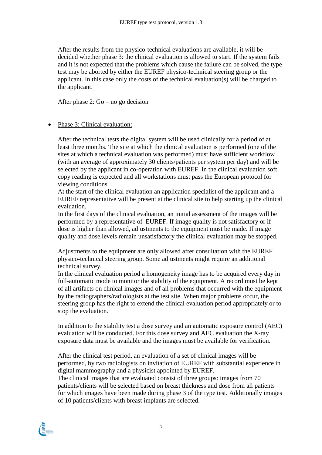After the results from the physico-technical evaluations are available, it will be decided whether phase 3: the clinical evaluation is allowed to start. If the system fails and it is not expected that the problems which cause the failure can be solved, the type test may be aborted by either the EUREF physico-technical steering group or the applicant. In this case only the costs of the technical evaluation(s) will be charged to the applicant.

After phase 2: Go – no go decision

• Phase 3: Clinical evaluation:

After the technical tests the digital system will be used clinically for a period of at least three months. The site at which the clinical evaluation is performed (one of the sites at which a technical evaluation was performed) must have sufficient workflow (with an average of approximately 30 clients/patients per system per day) and will be selected by the applicant in co-operation with EUREF. In the clinical evaluation soft copy reading is expected and all workstations must pass the European protocol for viewing conditions.

At the start of the clinical evaluation an application specialist of the applicant and a EUREF representative will be present at the clinical site to help starting up the clinical evaluation.

In the first days of the clinical evaluation, an initial assessment of the images will be performed by a representative of EUREF. If image quality is not satisfactory or if dose is higher than allowed, adjustments to the equipment must be made. If image quality and dose levels remain unsatisfactory the clinical evaluation may be stopped.

Adjustments to the equipment are only allowed after consultation with the EUREF physico-technical steering group. Some adjustments might require an additional technical survey.

In the clinical evaluation period a homogeneity image has to be acquired every day in full-automatic mode to monitor the stability of the equipment. A record must be kept of all artifacts on clinical images and of all problems that occurred with the equipment by the radiographers/radiologists at the test site. When major problems occur, the steering group has the right to extend the clinical evaluation period appropriately or to stop the evaluation.

In addition to the stability test a dose survey and an automatic exposure control (AEC) evaluation will be conducted. For this dose survey and AEC evaluation the X-ray exposure data must be available and the images must be available for verification.

After the clinical test period, an evaluation of a set of clinical images will be performed, by two radiologists on invitation of EUREF with substantial experience in digital mammography and a physicist appointed by EUREF.

The clinical images that are evaluated consist of three groups: images from 70 patients/clients will be selected based on breast thickness and dose from all patients for which images have been made during phase 3 of the type test. Additionally images of 10 patients/clients with breast implants are selected.

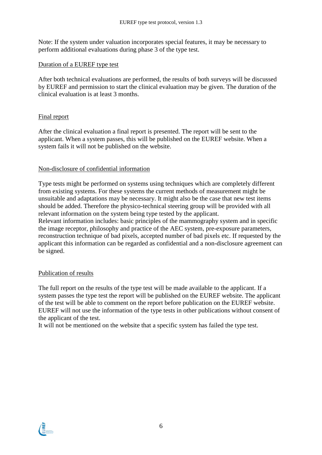Note: If the system under valuation incorporates special features, it may be necessary to perform additional evaluations during phase 3 of the type test.

#### Duration of a EUREF type test

After both technical evaluations are performed, the results of both surveys will be discussed by EUREF and permission to start the clinical evaluation may be given. The duration of the clinical evaluation is at least 3 months.

#### Final report

After the clinical evaluation a final report is presented. The report will be sent to the applicant. When a system passes, this will be published on the EUREF website. When a system fails it will not be published on the website.

#### Non-disclosure of confidential information

Type tests might be performed on systems using techniques which are completely different from existing systems. For these systems the current methods of measurement might be unsuitable and adaptations may be necessary. It might also be the case that new test items should be added. Therefore the physico-technical steering group will be provided with all relevant information on the system being type tested by the applicant.

Relevant information includes: basic principles of the mammography system and in specific the image receptor, philosophy and practice of the AEC system, pre-exposure parameters, reconstruction technique of bad pixels, accepted number of bad pixels etc. If requested by the applicant this information can be regarded as confidential and a non-disclosure agreement can be signed.

#### Publication of results

The full report on the results of the type test will be made available to the applicant. If a system passes the type test the report will be published on the EUREF website. The applicant of the test will be able to comment on the report before publication on the EUREF website. EUREF will not use the information of the type tests in other publications without consent of the applicant of the test.

It will not be mentioned on the website that a specific system has failed the type test.

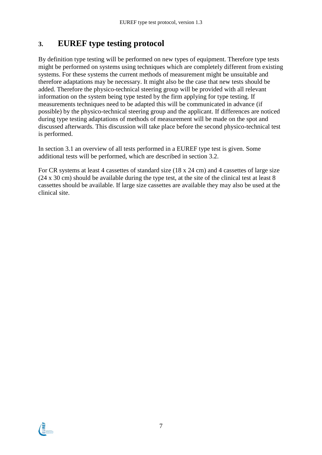### **3. EUREF type testing protocol**

By definition type testing will be performed on new types of equipment. Therefore type tests might be performed on systems using techniques which are completely different from existing systems. For these systems the current methods of measurement might be unsuitable and therefore adaptations may be necessary. It might also be the case that new tests should be added. Therefore the physico-technical steering group will be provided with all relevant information on the system being type tested by the firm applying for type testing. If measurements techniques need to be adapted this will be communicated in advance (if possible) by the physico-technical steering group and the applicant. If differences are noticed during type testing adaptations of methods of measurement will be made on the spot and discussed afterwards. This discussion will take place before the second physico-technical test is performed.

In section 3.1 an overview of all tests performed in a EUREF type test is given. Some additional tests will be performed, which are described in section 3.2.

For CR systems at least 4 cassettes of standard size (18 x 24 cm) and 4 cassettes of large size (24 x 30 cm) should be available during the type test, at the site of the clinical test at least 8 cassettes should be available. If large size cassettes are available they may also be used at the clinical site.

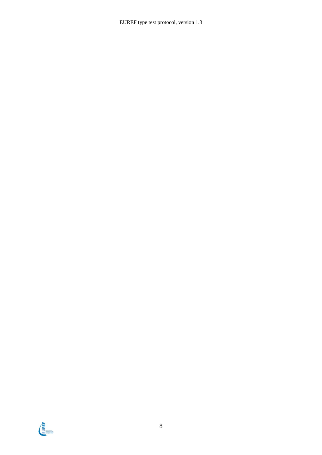EUREF type test protocol, version 1.3

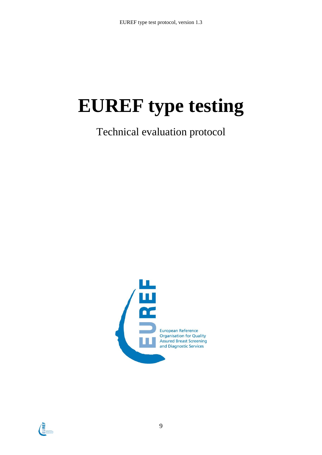# **EUREF type testing**

Technical evaluation protocol



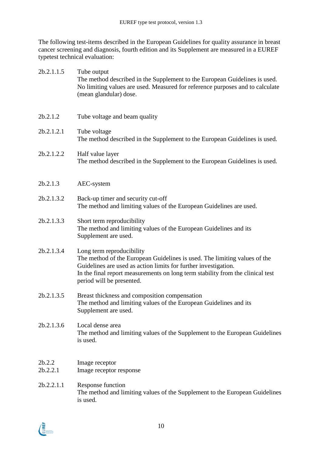The following test-items described in the European Guidelines for quality assurance in breast cancer screening and diagnosis, fourth edition and its Supplement are measured in a EUREF typetest technical evaluation:

| 2b.2.1.1.5         | Tube output<br>The method described in the Supplement to the European Guidelines is used.<br>No limiting values are used. Measured for reference purposes and to calculate<br>(mean glandular) dose.                                                                                     |
|--------------------|------------------------------------------------------------------------------------------------------------------------------------------------------------------------------------------------------------------------------------------------------------------------------------------|
| 2b.2.1.2           | Tube voltage and beam quality                                                                                                                                                                                                                                                            |
| 2b.2.1.2.1         | Tube voltage<br>The method described in the Supplement to the European Guidelines is used.                                                                                                                                                                                               |
| 2b.2.1.2.2         | Half value layer<br>The method described in the Supplement to the European Guidelines is used.                                                                                                                                                                                           |
| 2b.2.1.3           | AEC-system                                                                                                                                                                                                                                                                               |
| 2b.2.1.3.2         | Back-up timer and security cut-off<br>The method and limiting values of the European Guidelines are used.                                                                                                                                                                                |
| 2b.2.1.3.3         | Short term reproducibility<br>The method and limiting values of the European Guidelines and its<br>Supplement are used.                                                                                                                                                                  |
| 2b.2.1.3.4         | Long term reproducibility<br>The method of the European Guidelines is used. The limiting values of the<br>Guidelines are used as action limits for further investigation.<br>In the final report measurements on long term stability from the clinical test<br>period will be presented. |
| 2b.2.1.3.5         | Breast thickness and composition compensation<br>The method and limiting values of the European Guidelines and its<br>Supplement are used.                                                                                                                                               |
| 2b.2.1.3.6         | Local dense area<br>The method and limiting values of the Supplement to the European Guidelines<br>is used.                                                                                                                                                                              |
| 2b.2.2<br>2b.2.2.1 | Image receptor<br>Image receptor response                                                                                                                                                                                                                                                |
| 2b.2.2.1.1         | Response function<br>The method and limiting values of the Supplement to the European Guidelines<br>is used.                                                                                                                                                                             |

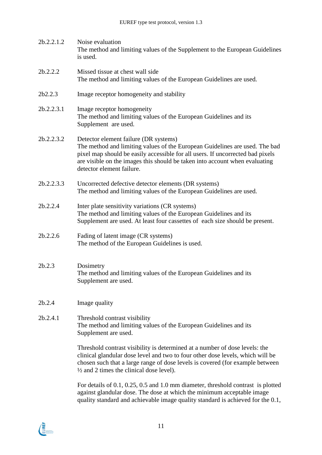- 2b.2.2.1.2 Noise evaluation The method and limiting values of the Supplement to the European Guidelines is used.
- 2b.2.2.2 Missed tissue at chest wall side The method and limiting values of the European Guidelines are used.
- 2b2.2.3 Image receptor homogeneity and stability
- 2b.2.2.3.1 Image receptor homogeneity The method and limiting values of the European Guidelines and its Supplement are used.
- 2b.2.2.3.2 Detector element failure (DR systems) The method and limiting values of the European Guidelines are used. The bad pixel map should be easily accessible for all users. If uncorrected bad pixels are visible on the images this should be taken into account when evaluating detector element failure.
- 2b.2.2.3.3 Uncorrected defective detector elements (DR systems) The method and limiting values of the European Guidelines are used.
- 2b.2.2.4 Inter plate sensitivity variations (CR systems) The method and limiting values of the European Guidelines and its Supplement are used. At least four cassettes of each size should be present.
- 2b.2.2.6 Fading of latent image (CR systems) The method of the European Guidelines is used.
- 2b.2.3 Dosimetry The method and limiting values of the European Guidelines and its Supplement are used.
- 2b.2.4 Image quality
- 2b.2.4.1 Threshold contrast visibility The method and limiting values of the European Guidelines and its Supplement are used.

Threshold contrast visibility is determined at a number of dose levels: the clinical glandular dose level and two to four other dose levels, which will be chosen such that a large range of dose levels is covered (for example between  $\frac{1}{2}$  and 2 times the clinical dose level).

For details of 0.1, 0.25, 0.5 and 1.0 mm diameter, threshold contrast is plotted against glandular dose. The dose at which the minimum acceptable image quality standard and achievable image quality standard is achieved for the 0.1,

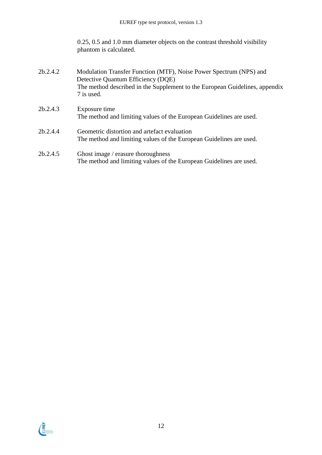0.25, 0.5 and 1.0 mm diameter objects on the contrast threshold visibility phantom is calculated.

2b.2.4.2 Modulation Transfer Function (MTF), Noise Power Spectrum (NPS) and Detective Quantum Efficiency (DQE) The method described in the Supplement to the European Guidelines, appendix 7 is used.

#### 2b.2.4.3 Exposure time The method and limiting values of the European Guidelines are used.

2b.2.4.4 Geometric distortion and artefact evaluation The method and limiting values of the European Guidelines are used.

#### 2b.2.4.5 Ghost image / erasure thoroughness The method and limiting values of the European Guidelines are used.

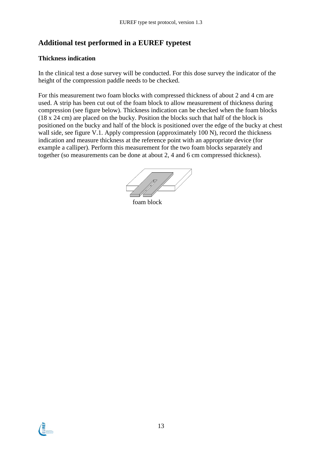### **Additional test performed in a EUREF typetest**

#### **Thickness indication**

In the clinical test a dose survey will be conducted. For this dose survey the indicator of the height of the compression paddle needs to be checked.

For this measurement two foam blocks with compressed thickness of about 2 and 4 cm are used. A strip has been cut out of the foam block to allow measurement of thickness during compression (see figure below). Thickness indication can be checked when the foam blocks (18 x 24 cm) are placed on the bucky. Position the blocks such that half of the block is positioned on the bucky and half of the block is positioned over the edge of the bucky at chest wall side, see figure V.1. Apply compression (approximately 100 N), record the thickness indication and measure thickness at the reference point with an appropriate device (for example a calliper). Perform this measurement for the two foam blocks separately and together (so measurements can be done at about 2, 4 and 6 cm compressed thickness).

 $\mathbb{Z}$ 

foam block

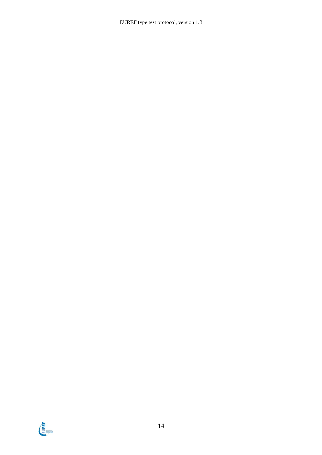EUREF type test protocol, version 1.3

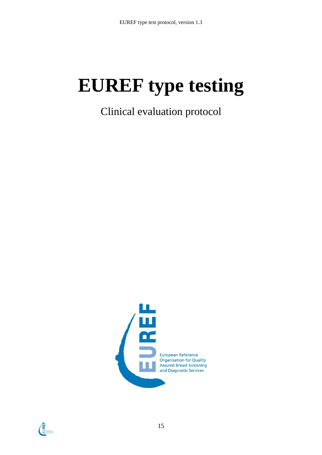# **EUREF type testing**

# Clinical evaluation protocol



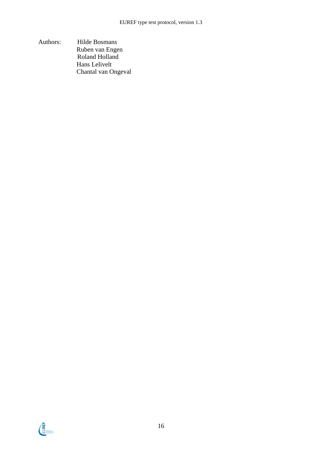Authors: Hilde Bosmans Ruben van Engen Roland Holland Hans Lelivelt Chantal van Ongeval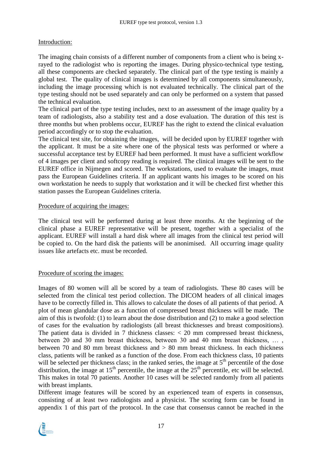#### Introduction:

The imaging chain consists of a different number of components from a client who is being xrayed to the radiologist who is reporting the images. During physico-technical type testing, all these components are checked separately. The clinical part of the type testing is mainly a global test. The quality of clinical images is determined by all components simultaneously, including the image processing which is not evaluated technically. The clinical part of the type testing should not be used separately and can only be performed on a system that passed the technical evaluation.

The clinical part of the type testing includes, next to an assessment of the image quality by a team of radiologists, also a stability test and a dose evaluation. The duration of this test is three months but when problems occur, EUREF has the right to extend the clinical evaluation period accordingly or to stop the evaluation.

The clinical test site, for obtaining the images, will be decided upon by EUREF together with the applicant. It must be a site where one of the physical tests was performed or where a successful acceptance test by EUREF had been performed. It must have a sufficient workflow of 4 images per client and softcopy reading is required. The clinical images will be sent to the EUREF office in Nijmegen and scored. The workstations, used to evaluate the images, must pass the European Guidelines criteria. If an applicant wants his images to be scored on his own workstation he needs to supply that workstation and it will be checked first whether this station passes the European Guidelines criteria.

#### Procedure of acquiring the images:

The clinical test will be performed during at least three months. At the beginning of the clinical phase a EUREF representative will be present, together with a specialist of the applicant. EUREF will install a hard disk where all images from the clinical test period will be copied to. On the hard disk the patients will be anonimised. All occurring image quality issues like artefacts etc. must be recorded.

#### Procedure of scoring the images:

Images of 80 women will all be scored by a team of radiologists. These 80 cases will be selected from the clinical test period collection. The DICOM headers of all clinical images have to be correctly filled in. This allows to calculate the doses of all patients of that period. A plot of mean glandular dose as a function of compressed breast thickness will be made. The aim of this is twofold: (1) to learn about the dose distribution and (2) to make a good selection of cases for the evaluation by radiologists (all breast thicknesses and breast compositions). The patient data is divided in 7 thickness classes: < 20 mm compressed breast thickness, between 20 and 30 mm breast thickness, between 30 and 40 mm breast thickness, … , between 70 and 80 mm breast thickness and > 80 mm breast thickness. In each thickness class, patients will be ranked as a function of the dose. From each thickness class, 10 patients will be selected per thickness class; in the ranked series, the image at  $5<sup>th</sup>$  percentile of the dose distribution, the image at  $15<sup>th</sup>$  percentile, the image at the  $25<sup>th</sup>$  percentile, etc will be selected. This makes in total 70 patients. Another 10 cases will be selected randomly from all patients with breast implants.

Different image features will be scored by an experienced team of experts in consensus, consisting of at least two radiologists and a physicist. The scoring form can be found in appendix 1 of this part of the protocol. In the case that consensus cannot be reached in the

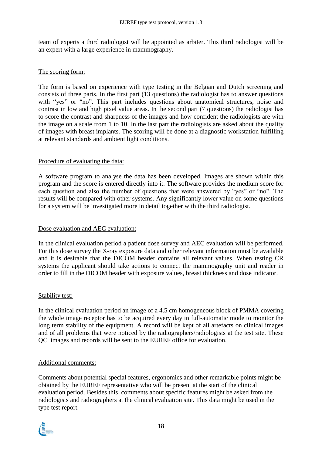team of experts a third radiologist will be appointed as arbiter. This third radiologist will be an expert with a large experience in mammography.

#### The scoring form:

The form is based on experience with type testing in the Belgian and Dutch screening and consists of three parts. In the first part (13 questions) the radiologist has to answer questions with "yes" or "no". This part includes questions about anatomical structures, noise and contrast in low and high pixel value areas. In the second part (7 questions) the radiologist has to score the contrast and sharpness of the images and how confident the radiologists are with the image on a scale from 1 to 10. In the last part the radiologists are asked about the quality of images with breast implants. The scoring will be done at a diagnostic workstation fulfilling at relevant standards and ambient light conditions.

#### Procedure of evaluating the data:

A software program to analyse the data has been developed. Images are shown within this program and the score is entered directly into it. The software provides the medium score for each question and also the number of questions that were answered by "yes" or "no". The results will be compared with other systems. Any significantly lower value on some questions for a system will be investigated more in detail together with the third radiologist.

#### Dose evaluation and AEC evaluation:

In the clinical evaluation period a patient dose survey and AEC evaluation will be performed. For this dose survey the X-ray exposure data and other relevant information must be available and it is desirable that the DICOM header contains all relevant values. When testing CR systems the applicant should take actions to connect the mammography unit and reader in order to fill in the DICOM header with exposure values, breast thickness and dose indicator.

#### Stability test:

In the clinical evaluation period an image of a 4.5 cm homogeneous block of PMMA covering the whole image receptor has to be acquired every day in full-automatic mode to monitor the long term stability of the equipment. A record will be kept of all artefacts on clinical images and of all problems that were noticed by the radiographers/radiologists at the test site. These QC images and records will be sent to the EUREF office for evaluation.

#### Additional comments:

Comments about potential special features, ergonomics and other remarkable points might be obtained by the EUREF representative who will be present at the start of the clinical evaluation period. Besides this, comments about specific features might be asked from the radiologists and radiographers at the clinical evaluation site. This data might be used in the type test report.

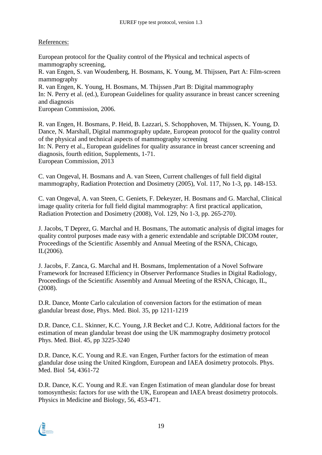#### References:

European protocol for the Quality control of the Physical and technical aspects of mammography screening,

R. van Engen, S. van Woudenberg, H. Bosmans, K. Young, M. Thijssen, Part A: Film-screen mammography

R. van Engen, K. Young, H. Bosmans, M. Thijssen ,Part B: Digital mammography In: N. Perry et al. (ed.), European Guidelines for quality assurance in breast cancer screening and diagnosis

European Commission, 2006.

R. van Engen, H. Bosmans, P. Heid, B. Lazzari, S. Schopphoven, M. Thijssen, K. Young, D. Dance, N. Marshall, Digital mammography update, European protocol for the quality control of the physical and technical aspects of mammography screening In: N. Perry et al., European guidelines for quality assurance in breast cancer screening and diagnosis, fourth edition, Supplements, 1-71.

European Commission, 2013

C. van Ongeval, H. Bosmans and A. van Steen, Current challenges of full field digital mammography, Radiation Protection and Dosimetry (2005), Vol. 117, No 1-3, pp. 148-153.

C. van Ongeval, A. van Steen, C. Geniets, F. Dekeyzer, H. Bosmans and G. Marchal, Clinical image quality criteria for full field digital mammography: A first practical application, Radiation Protection and Dosimetry (2008), Vol. 129, No 1-3, pp. 265-270).

J. Jacobs, T Deprez, G. Marchal and H. Bosmans, The automatic analysis of digital images for quality control purposes made easy with a generic extendable and scriptable DICOM router, Proceedings of the Scientific Assembly and Annual Meeting of the RSNA, Chicago, IL(2006).

J. Jacobs, F. Zanca, G. Marchal and H. Bosmans, Implementation of a Novel Software Framework for Increased Efficiency in Observer Performance Studies in Digital Radiology, Proceedings of the Scientific Assembly and Annual Meeting of the RSNA, Chicago, IL, (2008).

D.R. Dance, Monte Carlo calculation of conversion factors for the estimation of mean glandular breast dose, Phys. Med. Biol. 35, pp 1211-1219

D.R. Dance, C.L. Skinner, K.C. Young, J.R Becket and C.J. Kotre, Additional factors for the estimation of mean glandular breast doe using the UK mammography dosimetry protocol Phys. Med. Biol. 45, pp 3225-3240

D.R. Dance, K.C. Young and R.E. van Engen, Further factors for the estimation of mean glandular dose using the United Kingdom, European and IAEA dosimetry protocols. Phys. Med. Biol 54, 4361-72

D.R. Dance, K.C. Young and R.E. van Engen Estimation of mean glandular dose for breast tomosynthesis: factors for use with the UK, European and IAEA breast dosimetry protocols. Physics in Medicine and Biology, 56, 453-471.

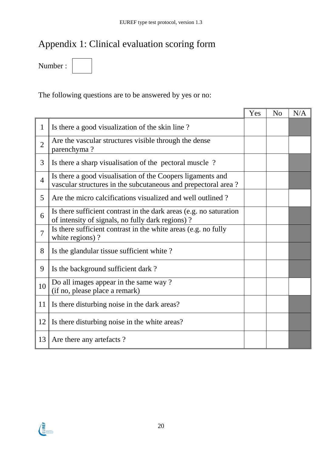## Appendix 1: Clinical evaluation scoring form

Number :

The following questions are to be answered by yes or no:

|                |                                                                                                                             | Yes | N <sub>0</sub> | N/A |
|----------------|-----------------------------------------------------------------------------------------------------------------------------|-----|----------------|-----|
| $\mathbf{1}$   | Is there a good visualization of the skin line?                                                                             |     |                |     |
| $\overline{2}$ | Are the vascular structures visible through the dense<br>parenchyma?                                                        |     |                |     |
| 3              | Is there a sharp visualisation of the pectoral muscle?                                                                      |     |                |     |
| $\overline{4}$ | Is there a good visualisation of the Coopers ligaments and<br>vascular structures in the subcutaneous and prepectoral area? |     |                |     |
| 5              | Are the micro calcifications visualized and well outlined?                                                                  |     |                |     |
| 6              | Is there sufficient contrast in the dark areas (e.g. no saturation<br>of intensity of signals, no fully dark regions)?      |     |                |     |
| $\overline{7}$ | Is there sufficient contrast in the white areas (e.g. no fully<br>white regions)?                                           |     |                |     |
| 8              | Is the glandular tissue sufficient white?                                                                                   |     |                |     |
| 9              | Is the background sufficient dark?                                                                                          |     |                |     |
| 10             | Do all images appear in the same way?<br>(if no, please place a remark)                                                     |     |                |     |
| 11             | Is there disturbing noise in the dark areas?                                                                                |     |                |     |
| 12             | Is there disturbing noise in the white areas?                                                                               |     |                |     |
| 13             | Are there any artefacts?                                                                                                    |     |                |     |